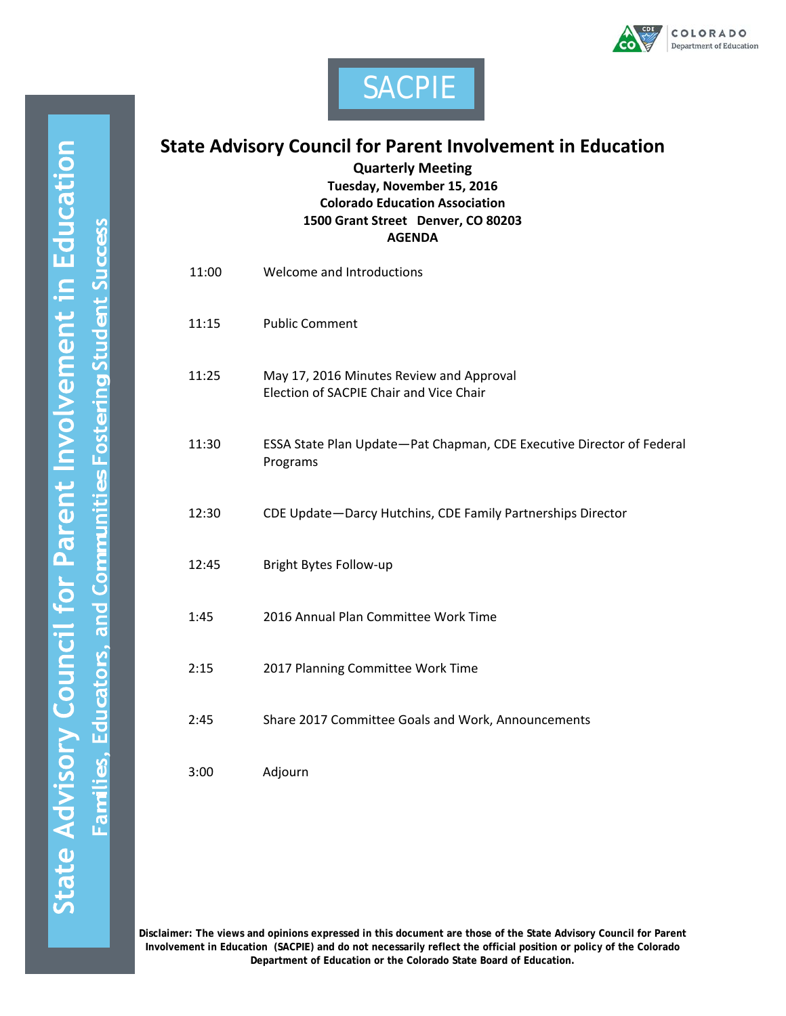



## **State Advisory Council for Parent Involvement in Education**

**Quarterly Meeting**

**Tuesday, November 15, 2016 Colorado Education Association 1500 Grant Street Denver, CO 80203 AGENDA**

| 11:00 | Welcome and Introductions                                                           |
|-------|-------------------------------------------------------------------------------------|
| 11:15 | <b>Public Comment</b>                                                               |
| 11:25 | May 17, 2016 Minutes Review and Approval<br>Election of SACPIE Chair and Vice Chair |
| 11:30 | ESSA State Plan Update-Pat Chapman, CDE Executive Director of Federal<br>Programs   |
| 12:30 | CDE Update-Darcy Hutchins, CDE Family Partnerships Director                         |
| 12:45 | Bright Bytes Follow-up                                                              |
| 1:45  | 2016 Annual Plan Committee Work Time                                                |
| 2:15  | 2017 Planning Committee Work Time                                                   |
| 2:45  | Share 2017 Committee Goals and Work, Announcements                                  |
| 3:00  | Adjourn                                                                             |

**Disclaimer: The views and opinions expressed in this document are those of the State Advisory Council for Parent Involvement in Education (SACPIE) and do not necessarily reflect the official position or policy of the Colorado Department of Education or the Colorado State Board of Education.**